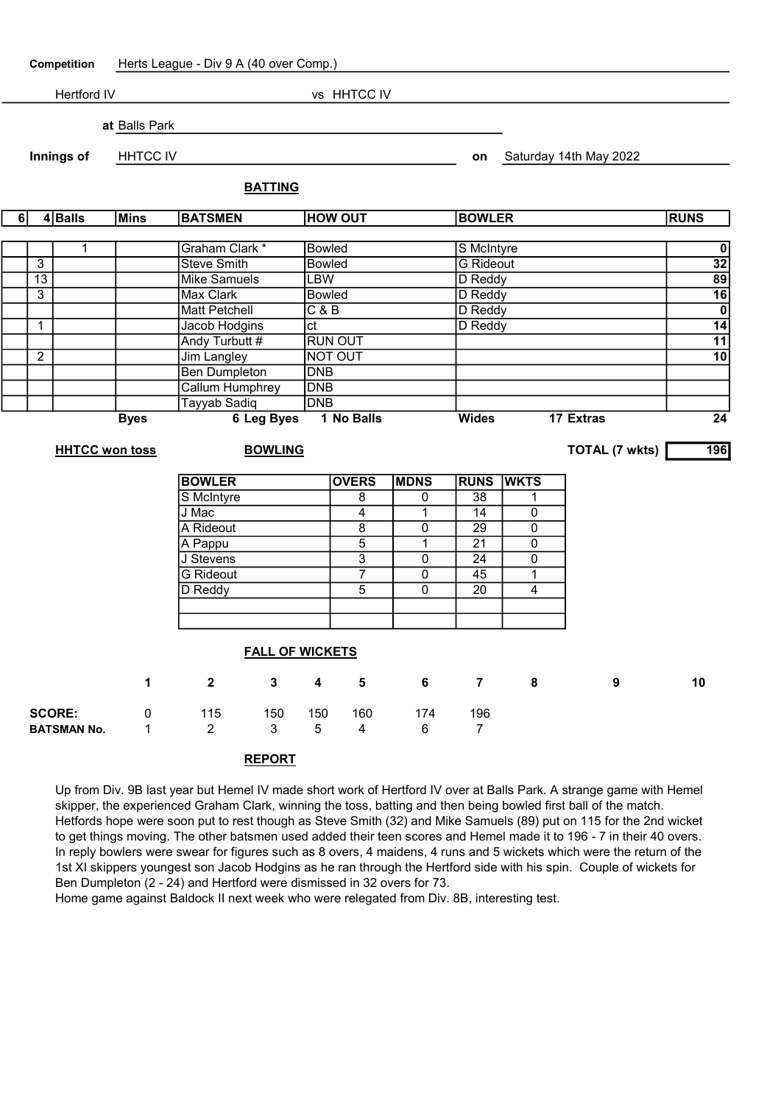| Competition        |                        | Herts League - Div 9 A (40 over Comp.)  |                        |                        |                |                         |                      |                |                       |                                   |                        |                 |  |
|--------------------|------------------------|-----------------------------------------|------------------------|------------------------|----------------|-------------------------|----------------------|----------------|-----------------------|-----------------------------------|------------------------|-----------------|--|
| <b>Hertford IV</b> |                        |                                         | vs HHTCC IV            |                        |                |                         |                      |                |                       |                                   |                        |                 |  |
|                    |                        |                                         | at Balls Park          |                        |                |                         |                      |                |                       |                                   |                        |                 |  |
| Innings of         |                        |                                         |                        |                        |                |                         |                      |                |                       |                                   |                        |                 |  |
|                    |                        |                                         | <b>HHTCC IV</b>        |                        |                |                         |                      |                | on                    |                                   | Saturday 14th May 2022 |                 |  |
|                    |                        |                                         |                        |                        | <b>BATTING</b> |                         |                      |                |                       |                                   |                        |                 |  |
|                    | $4$ Balls<br>6<br>Mins |                                         |                        | <b>BATSMEN</b>         |                | <b>HOW OUT</b>          |                      |                | <b>BOWLER</b>         |                                   |                        |                 |  |
|                    |                        |                                         |                        |                        | <b>Bowled</b>  |                         |                      |                |                       |                                   |                        |                 |  |
|                    | $\overline{3}$         | $\mathbf{1}$                            | Graham Clark *         |                        |                |                         |                      |                | S McIntyre            | $\overline{0}$<br>$\overline{32}$ |                        |                 |  |
|                    | 13                     |                                         |                        | <b>Steve Smith</b>     |                |                         | <b>Bowled</b><br>LBW |                |                       | <b>G</b> Rideout<br>D Reddy       |                        |                 |  |
|                    | $\overline{3}$         | <b>Mike Samuels</b><br><b>Max Clark</b> |                        |                        | <b>Bowled</b>  |                         |                      | D Reddy        | 89<br>$\overline{16}$ |                                   |                        |                 |  |
|                    |                        |                                         |                        | <b>Matt Petchell</b>   |                |                         |                      |                | D Reddy               | $\overline{\mathbf{0}}$           |                        |                 |  |
|                    | $\mathbf{1}$           |                                         | Jacob Hodgins          |                        |                | C & B<br>ct             |                      |                | D Reddy               | $\overline{14}$                   |                        |                 |  |
|                    |                        |                                         |                        | Andy Turbutt #         |                | <b>RUN OUT</b>          |                      |                |                       |                                   | $\overline{11}$        |                 |  |
|                    | $\overline{2}$         |                                         |                        | <b>Jim Langley</b>     |                | <b>NOT OUT</b>          |                      |                |                       |                                   | $\overline{10}$        |                 |  |
|                    |                        |                                         |                        | <b>Ben Dumpleton</b>   |                | <b>DNB</b>              |                      |                |                       |                                   |                        |                 |  |
|                    |                        |                                         |                        | <b>Callum Humphrey</b> |                |                         | $\overline{DNB}$     |                |                       |                                   |                        |                 |  |
|                    |                        |                                         |                        | Tayyab Sadiq<br>DNB    |                |                         |                      |                |                       |                                   |                        |                 |  |
|                    |                        |                                         | <b>Byes</b>            | <b>6 Leg Byes</b>      |                |                         | 1 No Balls           |                |                       |                                   | 17 Extras              | $\overline{24}$ |  |
|                    |                        |                                         |                        | <b>TOTAL (7 wkts)</b>  |                |                         |                      |                |                       |                                   |                        |                 |  |
|                    | <b>HHTCC won toss</b>  |                                         |                        | <b>BOWLING</b>         |                |                         |                      |                |                       | 196                               |                        |                 |  |
|                    |                        |                                         |                        | <b>BOWLER</b>          |                |                         | <b>OVERS</b>         | <b>MDNS</b>    | <b>RUNS</b>           | <b>WKTS</b>                       |                        |                 |  |
|                    |                        |                                         |                        | S McIntyre             |                |                         | 8                    | 0              | 38                    | 1                                 |                        |                 |  |
|                    |                        |                                         |                        | J Mac                  |                |                         | $\overline{4}$       | $\mathbf{1}$   | $\overline{14}$       | $\overline{0}$                    |                        |                 |  |
|                    |                        |                                         |                        | A Rideout              |                |                         | $\overline{8}$       | $\mathbf 0$    | $\overline{29}$       | 0                                 |                        |                 |  |
|                    |                        |                                         |                        | A Pappu                |                |                         | $\overline{5}$       | $\mathbf 1$    | $\overline{21}$       | 0                                 |                        |                 |  |
|                    |                        |                                         |                        | J Stevens              |                |                         | $\overline{3}$       | 0              | $\overline{24}$       | 0                                 |                        |                 |  |
|                    |                        |                                         |                        | <b>G</b> Rideout       |                |                         | $\overline{7}$       | $\overline{0}$ | $\overline{45}$       | $\overline{1}$                    |                        |                 |  |
|                    |                        |                                         |                        | D Reddy                |                |                         | $\overline{5}$       | 0              | $\overline{20}$       | 4                                 |                        |                 |  |
|                    |                        |                                         |                        |                        |                |                         |                      |                |                       |                                   |                        |                 |  |
|                    |                        |                                         |                        |                        |                |                         |                      |                |                       |                                   |                        |                 |  |
|                    |                        |                                         | <b>FALL OF WICKETS</b> |                        |                |                         |                      |                |                       |                                   |                        |                 |  |
|                    |                        |                                         | $\mathbf 1$            | $\mathbf{2}$           | $\mathbf{3}$   | $\overline{\mathbf{4}}$ | 5                    | 6              | $\overline{7}$        | 8                                 | 9                      | 10              |  |
|                    |                        | <b>SCORE:</b>                           | 0                      | 115                    | 150            | 150                     | 160                  | 174            | 196                   |                                   |                        |                 |  |
| <b>BATSMAN No.</b> |                        | 1                                       | $\overline{2}$         | 3                      | $\sqrt{5}$     | 4                       | 6                    | $\overline{7}$ |                       |                                   |                        |                 |  |

## REPORT

Up from Div. 9B last year but Hemel IV made short work of Hertford IV over at Balls Park. A strange game with Hemel skipper, the experienced Graham Clark, winning the toss, batting and then being bowled first ball of the match. Hetfords hope were soon put to rest though as Steve Smith (32) and Mike Samuels (89) put on 115 for the 2nd wicket to get things moving. The other batsmen used added their teen scores and Hemel made it to 196 - 7 in their 40 overs. In reply bowlers were swear for figures such as 8 overs, 4 maidens, 4 runs and 5 wickets which were the return of the 1st XI skippers youngest son Jacob Hodgins as he ran through the Hertford side with his spin. Couple of wickets for Ben Dumpleton (2 - 24) and Hertford were dismissed in 32 overs for 73.

Home game against Baldock II next week who were relegated from Div. 8B, interesting test.